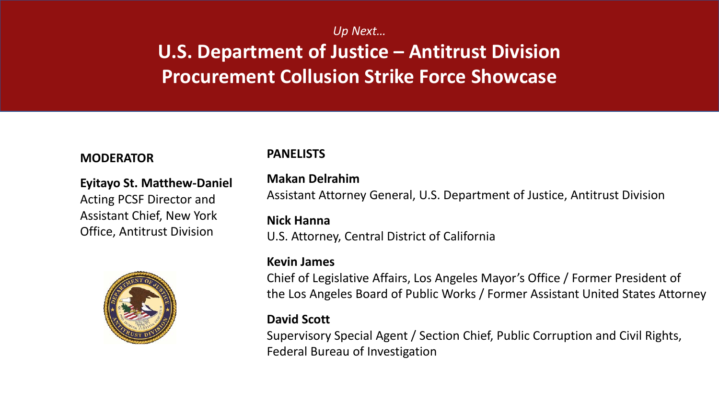#### *Up Next…*

### **U.S. Department of Justice – Antitrust Division Procurement Collusion Strike Force Showcase**

#### **MODERATOR**

**Eyitayo St. Matthew-Daniel** Acting PCSF Director and Assistant Chief, New York

Office, Antitrust Division



#### **PANELISTS**

#### **Makan Delrahim**

Assistant Attorney General, U.S. Department of Justice, Antitrust Division

#### **Nick Hanna**

U.S. Attorney, Central District of California

#### **Kevin James**

Chief of Legislative Affairs, Los Angeles Mayor's Office / Former President of the Los Angeles Board of Public Works / Former Assistant United States Attorney

#### **David Scott**

Supervisory Special Agent / Section Chief, Public Corruption and Civil Rights, Federal Bureau of Investigation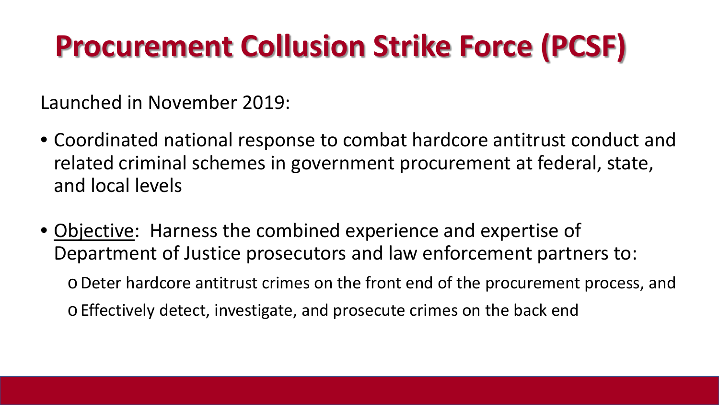# **Procurement Collusion Strike Force (PCSF)**

Launched in November 2019:

- Coordinated national response to combat hardcore antitrust conduct and related criminal schemes in government procurement at federal, state, and local levels
- Objective: Harness the combined experience and expertise of Department of Justice prosecutors and law enforcement partners to:

oDeter hardcore antitrust crimes on the front end of the procurement process, and oEffectively detect, investigate, and prosecute crimes on the back end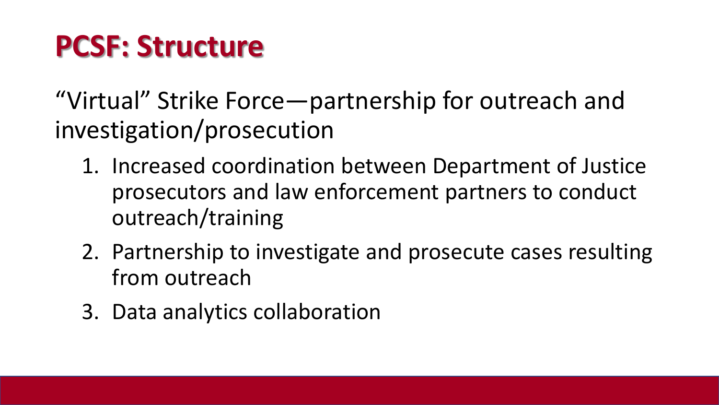## **PCSF: Structure**

"Virtual" Strike Force—partnership for outreach and investigation/prosecution

- 1. Increased coordination between Department of Justice prosecutors and law enforcement partners to conduct outreach/training
- 2. Partnership to investigate and prosecute cases resulting from outreach
- 3. Data analytics collaboration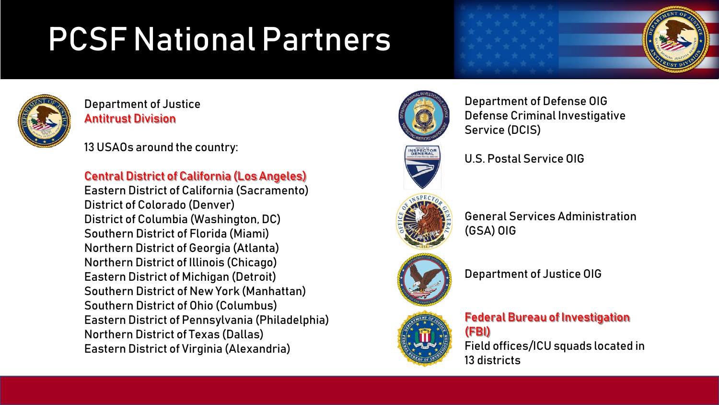# PCSF National Partners



Department of Justice Antitrust Division

13 USAOs around the country:

Central District of California (Los Angeles)

Eastern District of California (Sacramento) District of Colorado (Denver) District of Columbia (Washington, DC) Southern District of Florida (Miami) Northern District of Georgia (Atlanta) Northern District of Illinois (Chicago) Eastern District of Michigan (Detroit) Southern District of New York (Manhattan) Southern District of Ohio (Columbus) Eastern District of Pennsylvania (Philadelphia) Northern District of Texas (Dallas) Eastern District of Virginia (Alexandria)



Department of Defense OIG Defense Criminal Investigative Service (DCIS)





General Services Administration (GSA) OIG





13 districts



#### Federal Bureau of Investigation (FBI) Field offices/ICU squads located in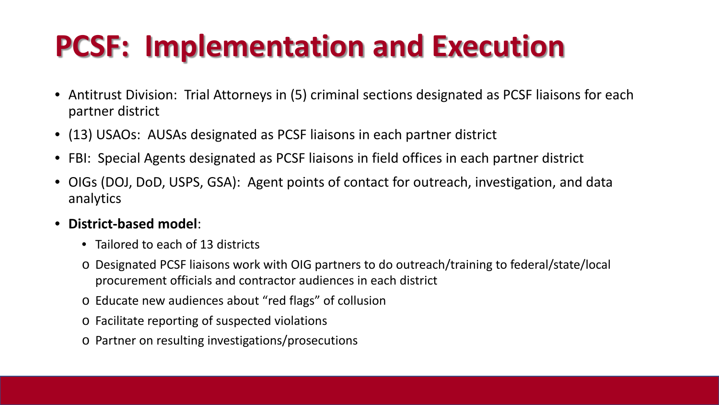# **PCSF: Implementation and Execution**

- Antitrust Division: Trial Attorneys in (5) criminal sections designated as PCSF liaisons for each partner district
- (13) USAOs: AUSAs designated as PCSF liaisons in each partner district
- FBI: Special Agents designated as PCSF liaisons in field offices in each partner district
- OIGs (DOJ, DoD, USPS, GSA): Agent points of contact for outreach, investigation, and data analytics

#### • **District-based model**:

- Tailored to each of 13 districts
- o Designated PCSF liaisons work with OIG partners to do outreach/training to federal/state/local procurement officials and contractor audiences in each district
- o Educate new audiences about "red flags" of collusion
- o Facilitate reporting of suspected violations
- o Partner on resulting investigations/prosecutions